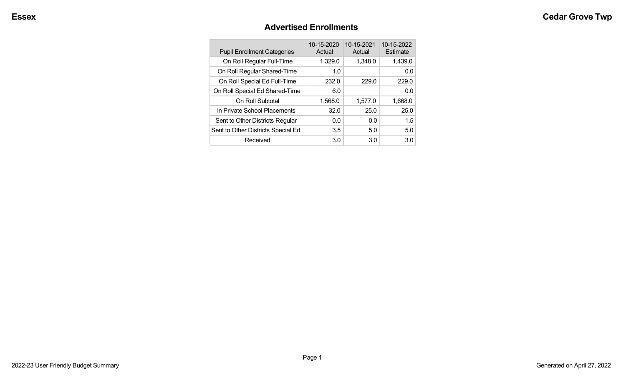#### **Advertised Enrollments**

| <b>Pupil Enrollment Categories</b> | 10-15-2020<br>Actual | 10-15-2021<br>Actual | 10-15-2022<br>Estimate |
|------------------------------------|----------------------|----------------------|------------------------|
| On Roll Regular Full-Time          | 1,329.0              | 1,348.0              | 1,439.0                |
| On Roll Regular Shared-Time        | 1.0                  |                      | 0.0                    |
| On Roll Special Ed Full-Time       | 232.0                | 229.0                | 229.0                  |
| On Roll Special Ed Shared-Time     | 6.0                  |                      | 0.0                    |
| On Roll Subtotal                   | 1,568.0              | 1,577.0              | 1,668.0                |
| In Private School Placements       | 32.0                 | 25.0                 | 25.0                   |
| Sent to Other Districts Regular    | 0.0                  | 0.0                  | 1.5                    |
| Sent to Other Districts Special Ed | 3.5                  | 5.0                  | 5.0                    |
| Received                           | 3.0                  | 3.0                  | 3.0 <sub>2</sub>       |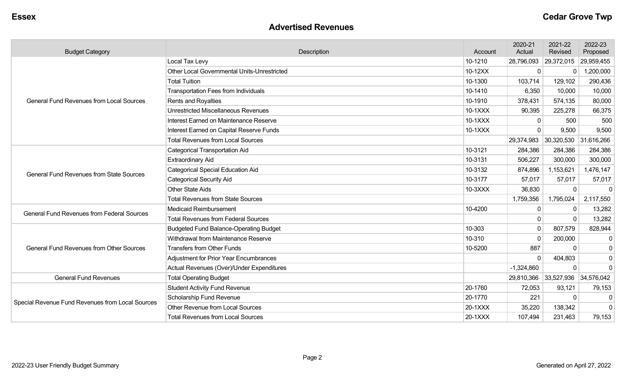#### **Advertised Revenues**

| <b>Budget Category</b>                            | Description                                   | Account | 2020-21<br>Actual | 2021-22<br>Revised    | 2022-23<br>Proposed |
|---------------------------------------------------|-----------------------------------------------|---------|-------------------|-----------------------|---------------------|
|                                                   | Local Tax Levy                                | 10-1210 | 28,796,093        | 29,372,015            | 29,959,455          |
|                                                   | Other Local Governmental Units-Unrestricted   | 10-12XX | 0                 | 0                     | ,200,000            |
|                                                   | <b>Total Tuition</b>                          | 10-1300 | 103,714           | 129,102               | 290,436             |
|                                                   | <b>Transportation Fees from Individuals</b>   | 10-1410 | 6,350             | 10,000                | 10,000              |
| <b>General Fund Revenues from Local Sources</b>   | <b>Rents and Royalties</b>                    | 10-1910 | 378,431           | 574,135               | 80,000              |
|                                                   | <b>Unrestricted Miscellaneous Revenues</b>    | 10-1XXX | 90,395            | 225,278               | 66,375              |
|                                                   | Interest Earned on Maintenance Reserve        | 10-1XXX | 0                 | 500                   | 500                 |
|                                                   | Interest Earned on Capital Reserve Funds      | 10-1XXX | $\Omega$          | 9,500                 | 9,500               |
|                                                   | <b>Total Revenues from Local Sources</b>      |         | 29,374,983        | 30,320,530 31,616,266 |                     |
|                                                   | <b>Categorical Transportation Aid</b>         | 10-3121 | 284,386           | 284,386               | 284,386             |
|                                                   | <b>Extraordinary Aid</b>                      | 10-3131 | 506,227           | 300,000               | 300,000             |
| <b>General Fund Revenues from State Sources</b>   | <b>Categorical Special Education Aid</b>      | 10-3132 | 874,896           | 1,153,621             | 1,476,147           |
|                                                   | <b>Categorical Security Aid</b>               | 10-3177 | 57,017            | 57,017                | 57,017              |
|                                                   | <b>Other State Aids</b>                       | 10-3XXX | 36,830            | $\mathbf 0$           | $\Omega$            |
|                                                   | <b>Total Revenues from State Sources</b>      |         | 1,759,356         | 1,795,024             | 2,117,550           |
| <b>General Fund Revenues from Federal Sources</b> | <b>Medicaid Reimbursement</b>                 | 10-4200 | 0                 | $\mathbf{0}$          | 13,282              |
|                                                   | <b>Total Revenues from Federal Sources</b>    |         | 0                 | $\Omega$              | 13,282              |
|                                                   | <b>Budgeted Fund Balance-Operating Budget</b> | 10-303  | 0                 | 807,579               | 828,944             |
|                                                   | Withdrawal from Maintenance Reserve           | 10-310  | 0                 | 200,000               | $\mathbf 0$         |
| <b>General Fund Revenues from Other Sources</b>   | <b>Transfers from Other Funds</b>             | 10-5200 | 887               | $\Omega$              | $\mathbf 0$         |
|                                                   | <b>Adjustment for Prior Year Encumbrances</b> |         | $\Omega$          | 404,803               | $\pmb{0}$           |
|                                                   | Actual Revenues (Over)/Under Expenditures     |         | $-1,324,860$      | $\Omega$              | $\mathbf 0$         |
| <b>General Fund Revenues</b>                      | <b>Total Operating Budget</b>                 |         | 29,810,366        | 33,527,936 34,576,042 |                     |
|                                                   | <b>Student Activity Fund Revenue</b>          | 20-1760 | 72,053            | 93,121                | 79,153              |
| Special Revenue Fund Revenues from Local Sources  | Scholarship Fund Revenue                      | 20-1770 | 221               | $\Omega$              | 0                   |
|                                                   | Other Revenue from Local Sources              | 20-1XXX | 35,220            | 138,342               | $\mathbf 0$         |
|                                                   | <b>Total Revenues from Local Sources</b>      | 20-1XXX | 107,494           | 231,463               | 79,153              |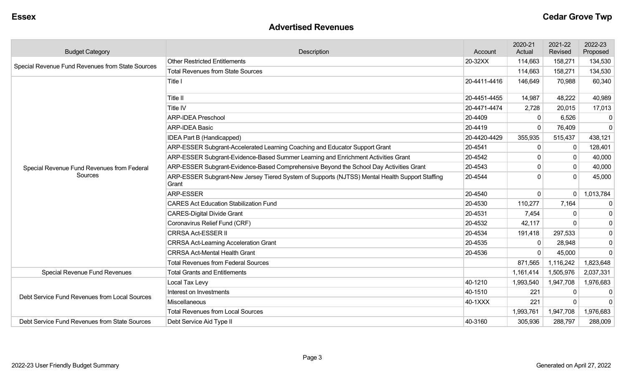#### **Advertised Revenues**

| <b>Budget Category</b>                           | Description                                                                                             | Account      | 2020-21<br>Actual | 2021-22<br>Revised | 2022-23<br>Proposed |
|--------------------------------------------------|---------------------------------------------------------------------------------------------------------|--------------|-------------------|--------------------|---------------------|
| Special Revenue Fund Revenues from State Sources | <b>Other Restricted Entitlements</b>                                                                    | 20-32XX      | 114,663           | 158,271            | 134,530             |
|                                                  | <b>Total Revenues from State Sources</b>                                                                |              | 114,663           | 158,271            | 134,530             |
|                                                  | Title I                                                                                                 | 20-4411-4416 | 146,649           | 70,988             | 60,340              |
|                                                  | Title II                                                                                                | 20-4451-4455 | 14,987            | 48,222             | 40,989              |
|                                                  | Title IV                                                                                                | 20-4471-4474 | 2,728             | 20,015             | 17,013              |
|                                                  | <b>ARP-IDEA Preschool</b>                                                                               | 20-4409      | $\Omega$          | 6,526              | 0                   |
|                                                  | <b>ARP-IDEA Basic</b>                                                                                   | 20-4419      | $\Omega$          | 76,409             | $\mathbf 0$         |
|                                                  | <b>IDEA Part B (Handicapped)</b>                                                                        | 20-4420-4429 | 355,935           | 515,437            | 438,121             |
|                                                  | ARP-ESSER Subgrant-Accelerated Learning Coaching and Educator Support Grant                             | 20-4541      | $\mathbf 0$       |                    | 128,401             |
|                                                  | ARP-ESSER Subgrant-Evidence-Based Summer Learning and Enrichment Activities Grant                       | 20-4542      | $\Omega$          | $\Omega$           | 40,000              |
| Special Revenue Fund Revenues from Federal       | ARP-ESSER Subgrant-Evidence-Based Comprehensive Beyond the School Day Activities Grant                  | 20-4543      | 0                 | $\mathbf{0}$       | 40,000              |
| Sources                                          | ARP-ESSER Subgrant-New Jersey Tiered System of Supports (NJTSS) Mental Health Support Staffing<br>Grant | 20-4544      | $\Omega$          | $\Omega$           | 45,000              |
|                                                  | <b>ARP-ESSER</b>                                                                                        | 20-4540      | $\mathbf 0$       | $\Omega$           | 1,013,784           |
|                                                  | <b>CARES Act Education Stabilization Fund</b>                                                           | 20-4530      | 110,277           | 7,164              | $\overline{0}$      |
|                                                  | <b>CARES-Digital Divide Grant</b>                                                                       | 20-4531      | 7,454             |                    | 0                   |
|                                                  | Coronavirus Relief Fund (CRF)                                                                           | 20-4532      | 42,117            |                    | $\overline{0}$      |
|                                                  | <b>CRRSA Act-ESSER II</b>                                                                               | 20-4534      | 191,418           | 297,533            | $\overline{0}$      |
|                                                  | <b>CRRSA Act-Learning Acceleration Grant</b>                                                            | 20-4535      | $\Omega$          | 28,948             | 0                   |
|                                                  | <b>CRRSA Act-Mental Health Grant</b>                                                                    | 20-4536      | $\Omega$          | 45,000             | $\Omega$            |
|                                                  | <b>Total Revenues from Federal Sources</b>                                                              |              | 871,565           | 1,116,242          | 1,823,648           |
| Special Revenue Fund Revenues                    | <b>Total Grants and Entitlements</b>                                                                    |              | 1,161,414         | 1,505,976          | 2,037,331           |
|                                                  | Local Tax Levy                                                                                          | 40-1210      | 1,993,540         | 1,947,708          | 1,976,683           |
|                                                  | Interest on Investments                                                                                 | 40-1510      | 221               | 0                  | $\mathbf{0}$        |
| Debt Service Fund Revenues from Local Sources    | <b>Miscellaneous</b>                                                                                    | 40-1XXX      | 221               |                    | $\overline{0}$      |
|                                                  | <b>Total Revenues from Local Sources</b>                                                                |              | 1,993,761         | 1,947,708          | 1,976,683           |
| Debt Service Fund Revenues from State Sources    | Debt Service Aid Type II                                                                                | 40-3160      | 305,936           | 288,797            | 288,009             |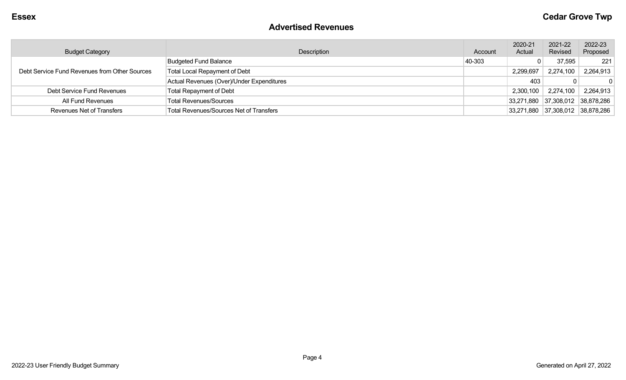#### **Advertised Revenues**

| <b>Budget Category</b>                        | Description                                    | Account | 2020-21<br>Actual | 2021-22<br>Revised               | 2022-23<br>Proposed |
|-----------------------------------------------|------------------------------------------------|---------|-------------------|----------------------------------|---------------------|
|                                               | <b>Budgeted Fund Balance</b>                   | 40-303  |                   | 37,595                           | 221                 |
| Debt Service Fund Revenues from Other Sources | <b>Total Local Repayment of Debt</b>           |         | 2,299,697         | 2,274,100                        | 2,264,913           |
|                                               | Actual Revenues (Over)/Under Expenditures      |         | 403               | 0                                |                     |
| Debt Service Fund Revenues                    | <b>Total Repayment of Debt</b>                 |         | 2,300,100         | 2,274,100                        | 2,264,913           |
| All Fund Revenues                             | <b>Total Revenues/Sources</b>                  |         |                   | 33,271,880 37,308,012 38,878,286 |                     |
| <b>Revenues Net of Transfers</b>              | <b>Total Revenues/Sources Net of Transfers</b> |         |                   | 33,271,880 37,308,012 38,878,286 |                     |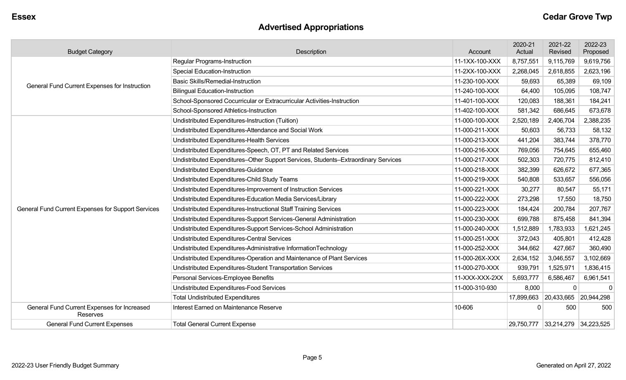# **Advertised Appropriations**

| <b>Budget Category</b>                                  | Description                                                                        | Account        | 2020-21<br>Actual | 2021-22<br>Revised               | 2022-23<br>Proposed |
|---------------------------------------------------------|------------------------------------------------------------------------------------|----------------|-------------------|----------------------------------|---------------------|
|                                                         | Regular Programs-Instruction                                                       | 11-1XX-100-XXX | 8,757,551         | 9,115,769                        | 9,619,756           |
|                                                         | <b>Special Education-Instruction</b>                                               | 11-2XX-100-XXX | 2,268,045         | 2,618,855                        | 2,623,196           |
|                                                         | <b>Basic Skills/Remedial-Instruction</b>                                           | 11-230-100-XXX | 59,693            | 65,389                           | 69,109              |
| General Fund Current Expenses for Instruction           | <b>Bilingual Education-Instruction</b>                                             | 11-240-100-XXX | 64,400            | 105,095                          | 108,747             |
|                                                         | School-Sponsored Cocurricular or Extracurricular Activities-Instruction            | 11-401-100-XXX | 120,083           | 188,361                          | 184,241             |
|                                                         | School-Sponsored Athletics-Instruction                                             | 11-402-100-XXX | 581,342           | 686,645                          | 673,678             |
|                                                         | Undistributed Expenditures-Instruction (Tuition)                                   | 11-000-100-XXX | 2,520,189         | 2,406,704                        | 2,388,235           |
|                                                         | Undistributed Expenditures-Attendance and Social Work                              | 11-000-211-XXX | 50,603            | 56,733                           | 58,132              |
|                                                         | Undistributed Expenditures-Health Services                                         | 11-000-213-XXX | 441,204           | 383,744                          | 378,770             |
|                                                         | Undistributed Expenditures-Speech, OT, PT and Related Services                     | 11-000-216-XXX | 769,056           | 754,645                          | 655,460             |
|                                                         | Undistributed Expenditures-Other Support Services, Students-Extraordinary Services | 11-000-217-XXX | 502,303           | 720,775                          | 812,410             |
|                                                         | Undistributed Expenditures-Guidance                                                | 11-000-218-XXX | 382,399           | 626,672                          | 677,365             |
|                                                         | Undistributed Expenditures-Child Study Teams                                       | 11-000-219-XXX | 540,808           | 533,657                          | 556,056             |
|                                                         | Undistributed Expenditures-Improvement of Instruction Services                     | 11-000-221-XXX | 30,277            | 80,547                           | 55,171              |
|                                                         | Undistributed Expenditures-Education Media Services/Library                        | 11-000-222-XXX | 273,298           | 17,550                           | 18,750              |
| General Fund Current Expenses for Support Services      | Undistributed Expenditures-Instructional Staff Training Services                   | 11-000-223-XXX | 184,424           | 200,784                          | 207,767             |
|                                                         | Undistributed Expenditures-Support Services-General Administration                 | 11-000-230-XXX | 699,788           | 875,458                          | 841,394             |
|                                                         | Undistributed Expenditures-Support Services-School Administration                  | 11-000-240-XXX | 1,512,889         | 1,783,933                        | 1,621,245           |
|                                                         | <b>Undistributed Expenditures-Central Services</b>                                 | 11-000-251-XXX | 372,043           | 405,801                          | 412,428             |
|                                                         | Undistributed Expenditures-Administrative InformationTechnology                    | 11-000-252-XXX | 344,662           | 427,667                          | 360,490             |
|                                                         | Undistributed Expenditures-Operation and Maintenance of Plant Services             | 11-000-26X-XXX | 2,634,152         | 3,046,557                        | 3,102,669           |
|                                                         | Undistributed Expenditures-Student Transportation Services                         | 11-000-270-XXX | 939,791           | 1,525,971                        | 1,836,415           |
|                                                         | Personal Services-Employee Benefits                                                | 11-XXX-XXX-2XX | 5,693,777         | 6,586,467                        | 6,961,541           |
|                                                         | Undistributed Expenditures-Food Services                                           | 11-000-310-930 | 8,000             | $\Omega$                         | $\mathbf{0}$        |
|                                                         | <b>Total Undistributed Expenditures</b>                                            |                |                   | 17,899,663 20,433,665 20,944,298 |                     |
| General Fund Current Expenses for Increased<br>Reserves | Interest Earned on Maintenance Reserve                                             | 10-606         | $\mathbf 0$       | 500                              | 500                 |
| <b>General Fund Current Expenses</b>                    | <b>Total General Current Expense</b>                                               |                |                   | 29,750,777 33,214,279 34,223,525 |                     |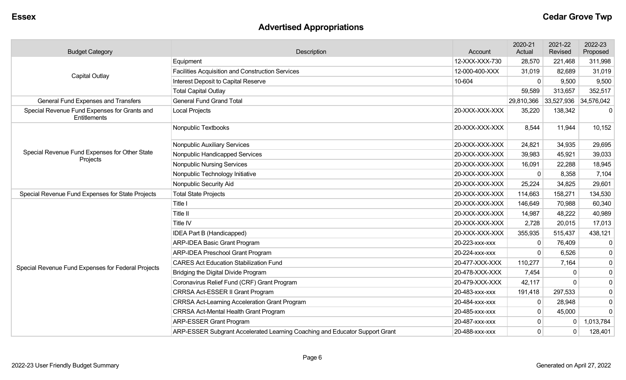# **Advertised Appropriations**

| <b>Budget Category</b>                                       | Description                                                                 | Account        | 2020-21<br>Actual | 2021-22<br>Revised | 2022-23<br>Proposed |
|--------------------------------------------------------------|-----------------------------------------------------------------------------|----------------|-------------------|--------------------|---------------------|
|                                                              | Equipment                                                                   | 12-XXX-XXX-730 | 28,570            | 221,468            | 311,998             |
| <b>Capital Outlay</b>                                        | <b>Facilities Acquisition and Construction Services</b>                     | 12-000-400-XXX | 31,019            | 82,689             | 31,019              |
|                                                              | Interest Deposit to Capital Reserve                                         | 10-604         | 0                 | 9,500              | 9,500               |
|                                                              | <b>Total Capital Outlay</b>                                                 |                | 59,589            | 313,657            | 352,517             |
| <b>General Fund Expenses and Transfers</b>                   | <b>General Fund Grand Total</b>                                             |                | 29,810,366        | 33,527,936         | 34,576,042          |
| Special Revenue Fund Expenses for Grants and<br>Entitlements | Local Projects                                                              | 20-XXX-XXX-XXX | 35,220            | 138,342            | $\Omega$            |
|                                                              | Nonpublic Textbooks                                                         | 20-XXX-XXX-XXX | 8,544             | 11,944             | 10,152              |
|                                                              | Nonpublic Auxiliary Services                                                | 20-XXX-XXX-XXX | 24,821            | 34,935             | 29,695              |
| Special Revenue Fund Expenses for Other State                | Nonpublic Handicapped Services                                              | 20-XXX-XXX-XXX | 39,983            | 45,921             | 39,033              |
| Projects                                                     | <b>Nonpublic Nursing Services</b>                                           | 20-XXX-XXX-XXX | 16,091            | 22,288             | 18,945              |
|                                                              | Nonpublic Technology Initiative                                             | 20-XXX-XXX-XXX | 0                 | 8,358              | 7,104               |
|                                                              | Nonpublic Security Aid                                                      | 20-XXX-XXX-XXX | 25,224            | 34,825             | 29,601              |
| Special Revenue Fund Expenses for State Projects             | <b>Total State Projects</b>                                                 | 20-XXX-XXX-XXX | 114,663           | 158,271            | 134,530             |
|                                                              | Title I                                                                     | 20-XXX-XXX-XXX | 146,649           | 70,988             | 60,340              |
|                                                              | Title II                                                                    | 20-XXX-XXX-XXX | 14,987            | 48,222             | 40,989              |
|                                                              | Title IV                                                                    | 20-XXX-XXX-XXX | 2,728             | 20,015             | 17,013              |
|                                                              | IDEA Part B (Handicapped)                                                   | 20-XXX-XXX-XXX | 355,935           | 515,437            | 438,121             |
|                                                              | ARP-IDEA Basic Grant Program                                                | 20-223-xxx-xxx | $\mathbf{0}$      | 76,409             | $\mathbf 0$         |
|                                                              | <b>ARP-IDEA Preschool Grant Program</b>                                     | 20-224-xxx-xxx | 0                 | 6,526              | $\mathbf 0$         |
| Special Revenue Fund Expenses for Federal Projects           | <b>CARES Act Education Stabilization Fund</b>                               | 20-477-XXX-XXX | 110,277           | 7,164              | $\mathbf 0$         |
|                                                              | Bridging the Digital Divide Program                                         | 20-478-XXX-XXX | 7,454             | $\Omega$           | $\mathbf 0$         |
|                                                              | Coronavirus Relief Fund (CRF) Grant Program                                 | 20-479-XXX-XXX | 42,117            | $\Omega$           | $\mathbf 0$         |
|                                                              | CRRSA Act-ESSER II Grant Program                                            | 20-483-xxx-xxx | 191,418           | 297,533            | $\mathbf 0$         |
|                                                              | <b>CRRSA Act-Learning Acceleration Grant Program</b>                        | 20-484-XXX-XXX | 0                 | 28,948             | 0                   |
|                                                              | <b>CRRSA Act-Mental Health Grant Program</b>                                | 20-485-xxx-xxx | $\mathbf{0}$      | 45,000             | $\mathbf 0$         |
|                                                              | <b>ARP-ESSER Grant Program</b>                                              | 20-487-XXX-XXX | 0                 | $\Omega$           | 1,013,784           |
|                                                              | ARP-ESSER Subgrant Accelerated Learning Coaching and Educator Support Grant | 20-488-XXX-XXX | $\mathbf{0}$      | $\mathbf 0$        | 128,401             |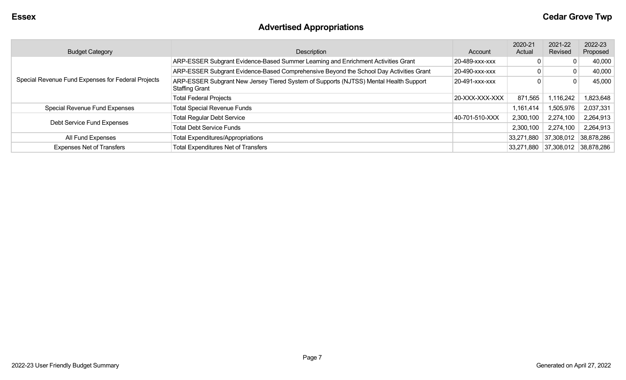# **Advertised Appropriations**

| <b>Budget Category</b>                             | Description                                                                                                    | Account        | 2020-21<br>Actual | 2021-22<br>Revised               | 2022-23<br>Proposed |
|----------------------------------------------------|----------------------------------------------------------------------------------------------------------------|----------------|-------------------|----------------------------------|---------------------|
|                                                    | ARP-ESSER Subgrant Evidence-Based Summer Learning and Enrichment Activities Grant                              | 20-489-xxx-xxx |                   | 0                                | 40,000              |
|                                                    | ARP-ESSER Subgrant Evidence-Based Comprehensive Beyond the School Day Activities Grant                         | 20-490-xxx-xxx |                   | $\mathbf{0}$                     | 40,000              |
| Special Revenue Fund Expenses for Federal Projects | ARP-ESSER Subgrant New Jersey Tiered System of Supports (NJTSS) Mental Health Support<br><b>Staffing Grant</b> | 20-491-xxx-xxx |                   | 0                                | 45,000              |
|                                                    | <b>Total Federal Projects</b>                                                                                  | 20-XXX-XXX-XXX | 871,565           | 1,116,242                        | 1,823,648           |
| Special Revenue Fund Expenses                      | <b>Total Special Revenue Funds</b>                                                                             |                | 1,161,414         | 1,505,976                        | 2,037,331           |
| Debt Service Fund Expenses                         | <b>Total Regular Debt Service</b>                                                                              | 40-701-510-XXX | 2,300,100         | 2,274,100                        | 2,264,913           |
|                                                    | <b>Total Debt Service Funds</b>                                                                                |                | 2,300,100         | 2,274,100                        | 2,264,913           |
| All Fund Expenses                                  | <b>Total Expenditures/Appropriations</b>                                                                       |                | 33,271,880        | 37,308,012                       | 38,878,286          |
| <b>Expenses Net of Transfers</b>                   | <b>Total Expenditures Net of Transfers</b>                                                                     |                |                   | 33,271,880 37,308,012 38,878,286 |                     |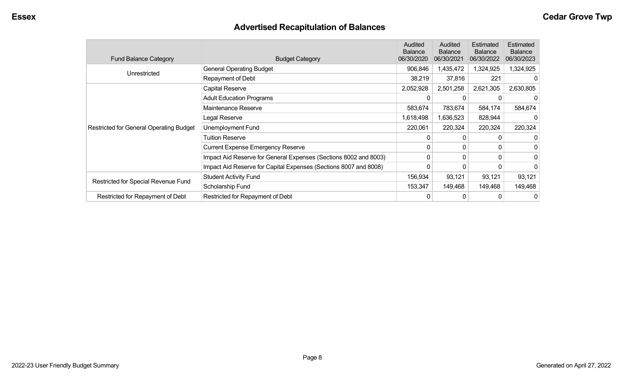# **Advertised Recapitulation of Balances**

| <b>Fund Balance Category</b>                   | <b>Budget Category</b>                                           | <b>Audited</b><br><b>Balance</b><br>06/30/2020 | Audited<br><b>Balance</b><br>06/30/2021 | Estimated<br><b>Balance</b><br>06/30/2022 | Estimated<br><b>Balance</b><br>06/30/2023 |
|------------------------------------------------|------------------------------------------------------------------|------------------------------------------------|-----------------------------------------|-------------------------------------------|-------------------------------------------|
|                                                | <b>General Operating Budget</b>                                  | 906,846                                        | 1,435,472                               | 1,324,925                                 | 1,324,925                                 |
| Unrestricted                                   | Repayment of Debt                                                | 38,219                                         | 37,816                                  | 221                                       | $\Box$                                    |
|                                                | Capital Reserve                                                  | 2,052,928                                      | 2,501,258                               | 2,621,305                                 | 2,630,805                                 |
|                                                | <b>Adult Education Programs</b>                                  | 0                                              |                                         |                                           |                                           |
|                                                | Maintenance Reserve                                              | 583,674                                        | 783,674                                 | 584,174                                   | 584,674                                   |
|                                                | Legal Reserve                                                    | 1,618,498                                      | 1,636,523                               | 828,944                                   |                                           |
| <b>Restricted for General Operating Budget</b> | Unemployment Fund                                                | 220,061                                        | 220,324                                 | 220,324                                   | 220,324                                   |
|                                                | <b>Tuition Reserve</b>                                           | 0                                              | 0                                       |                                           |                                           |
|                                                | <b>Current Expense Emergency Reserve</b>                         | 0                                              | $\Omega$                                | 0                                         | 0                                         |
|                                                | Impact Aid Reserve for General Expenses (Sections 8002 and 8003) | 0                                              | $\Omega$                                | $\Omega$                                  | 0                                         |
|                                                | Impact Aid Reserve for Capital Expenses (Sections 8007 and 8008) | 0                                              | 0                                       | 0                                         | 0                                         |
|                                                | <b>Student Activity Fund</b>                                     | 156,934                                        | 93,121                                  | 93,121                                    | 93,121                                    |
| Restricted for Special Revenue Fund            | Scholarship Fund                                                 | 153,347                                        | 149,468                                 | 149,468                                   | 149,468                                   |
| Restricted for Repayment of Debt               | Restricted for Repayment of Debt                                 | 0                                              | 0                                       |                                           | 0                                         |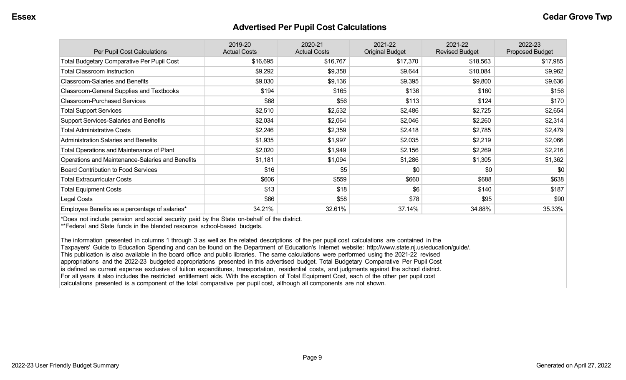#### **Advertised Per Pupil Cost Calculations**

| Per Pupil Cost Calculations                       | 2019-20<br><b>Actual Costs</b> | 2020-21<br><b>Actual Costs</b> | 2021-22<br><b>Original Budget</b> | 2021-22<br><b>Revised Budget</b> | 2022-23<br><b>Proposed Budget</b> |
|---------------------------------------------------|--------------------------------|--------------------------------|-----------------------------------|----------------------------------|-----------------------------------|
| <b>Total Budgetary Comparative Per Pupil Cost</b> | \$16,695                       | \$16,767                       | \$17,370                          | \$18,563                         | \$17,985                          |
| <b>Total Classroom Instruction</b>                | \$9,292                        | \$9,358                        | \$9,644                           | \$10,084                         | \$9,962                           |
| <b>Classroom-Salaries and Benefits</b>            | \$9,030                        | \$9,136                        | \$9,395                           | \$9,800                          | \$9,636                           |
| Classroom-General Supplies and Textbooks          | \$194                          | \$165                          | \$136                             | \$160                            | \$156                             |
| <b>Classroom-Purchased Services</b>               | \$68                           | \$56                           | \$113                             | \$124                            | \$170                             |
| <b>Total Support Services</b>                     | \$2,510                        | \$2,532                        | \$2,486                           | \$2,725                          | \$2,654                           |
| <b>Support Services-Salaries and Benefits</b>     | \$2,034                        | \$2,064                        | \$2,046                           | \$2,260                          | \$2,314                           |
| <b>Total Administrative Costs</b>                 | \$2,246                        | \$2,359                        | \$2,418                           | \$2,785                          | \$2,479                           |
| <b>Administration Salaries and Benefits</b>       | \$1,935                        | \$1,997                        | \$2,035                           | \$2,219                          | \$2,066                           |
| Total Operations and Maintenance of Plant         | \$2,020                        | \$1,949                        | \$2,156                           | \$2,269                          | \$2,216                           |
| Operations and Maintenance-Salaries and Benefits  | \$1,181                        | \$1,094                        | \$1,286                           | \$1,305                          | \$1,362                           |
| <b>Board Contribution to Food Services</b>        | \$16                           | \$5                            | \$0                               | \$0                              | \$0                               |
| <b>Total Extracurricular Costs</b>                | \$606                          | \$559                          | \$660                             | \$688                            | \$638                             |
| <b>Total Equipment Costs</b>                      | \$13                           | \$18                           | \$6                               | \$140                            | \$187                             |
| Legal Costs                                       | \$66                           | \$58                           | \$78                              | \$95                             | \$90                              |
| Employee Benefits as a percentage of salaries*    | 34.21%                         | 32.61%                         | 37.14%                            | 34.88%                           | 35.33%                            |

\*Does not include pension and social security paid by the State on-behalf of the district.

\*\*Federal and State funds in the blended resource school-based budgets.

The information presented in columns 1 through 3 as well as the related descriptions of the per pupil cost calculations are contained in the Taxpayers' Guide to Education Spending and can be found on the Department of Education's Internet website: http://www.state.nj.us/education/guide/. This publication is also available in the board office and public libraries. The same calculations were performed using the 2021-22 revised appropriations and the 2022-23 budgeted appropriations presented in this advertised budget. Total Budgetary Comparative Per Pupil Cost is defined as current expense exclusive of tuition expenditures, transportation, residential costs, and judgments against the school district. For all years it also includes the restricted entitlement aids. With the exception of Total Equipment Cost, each of the other per pupil cost calculations presented is a component of the total comparative per pupil cost, although all components are not shown.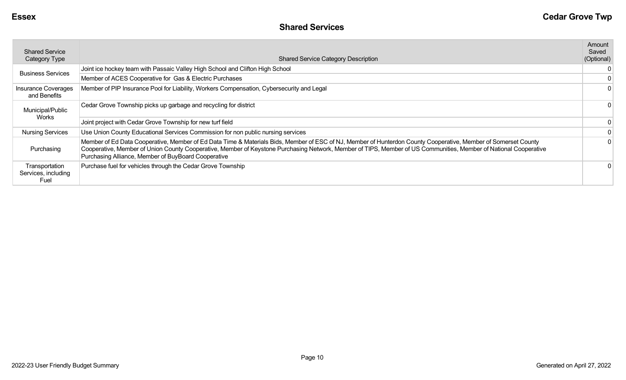| <b>Shared Service</b><br><b>Category Type</b> | <b>Shared Service Category Description</b>                                                                                                                                                                                                                                                                                                                                                | Amount<br>Saved<br>(Optional) |
|-----------------------------------------------|-------------------------------------------------------------------------------------------------------------------------------------------------------------------------------------------------------------------------------------------------------------------------------------------------------------------------------------------------------------------------------------------|-------------------------------|
| <b>Business Services</b>                      | Joint ice hockey team with Passaic Valley High School and Clifton High School                                                                                                                                                                                                                                                                                                             |                               |
|                                               | Member of ACES Cooperative for Gas & Electric Purchases                                                                                                                                                                                                                                                                                                                                   |                               |
| <b>Insurance Coverages</b><br>and Benefits    | Member of PIP Insurance Pool for Liability, Workers Compensation, Cybersecurity and Legal                                                                                                                                                                                                                                                                                                 |                               |
| Municipal/Public                              | Cedar Grove Township picks up garbage and recycling for district                                                                                                                                                                                                                                                                                                                          |                               |
| Works                                         | Joint project with Cedar Grove Township for new turf field                                                                                                                                                                                                                                                                                                                                |                               |
| <b>Nursing Services</b>                       | Use Union County Educational Services Commission for non public nursing services                                                                                                                                                                                                                                                                                                          |                               |
| Purchasing                                    | Member of Ed Data Cooperative, Member of Ed Data Time & Materials Bids, Member of ESC of NJ, Member of Hunterdon County Cooperative, Member of Somerset County<br>Cooperative, Member of Union County Cooperative, Member of Keystone Purchasing Network, Member of TIPS, Member of US Communities, Member of National Cooperative<br>Purchasing Alliance, Member of BuyBoard Cooperative |                               |
| Transportation<br>Services, including<br>Fuel | Purchase fuel for vehicles through the Cedar Grove Township                                                                                                                                                                                                                                                                                                                               |                               |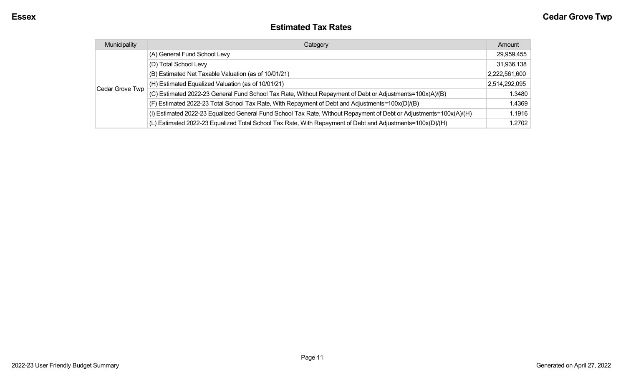#### **Estimated Tax Rates**

| Municipality    | Category                                                                                                           | Amount        |
|-----------------|--------------------------------------------------------------------------------------------------------------------|---------------|
|                 | (A) General Fund School Levy                                                                                       | 29,959,455    |
|                 | (D) Total School Levy                                                                                              | 31,936,138    |
|                 | (B) Estimated Net Taxable Valuation (as of 10/01/21)                                                               | 2,222,561,600 |
|                 | (H) Estimated Equalized Valuation (as of 10/01/21)                                                                 | 2,514,292,095 |
| Cedar Grove Twp | (C) Estimated 2022-23 General Fund School Tax Rate, Without Repayment of Debt or Adjustments=100x(A)/(B)           | 1.3480        |
|                 | (F) Estimated 2022-23 Total School Tax Rate, With Repayment of Debt and Adjustments=100x(D)/(B)                    | 1.4369        |
|                 | (I) Estimated 2022-23 Equalized General Fund School Tax Rate, Without Repayment of Debt or Adjustments=100x(A)/(H) | 1.1916        |
|                 | (L) Estimated 2022-23 Equalized Total School Tax Rate, With Repayment of Debt and Adjustments=100x(D)/(H)          | 1.2702        |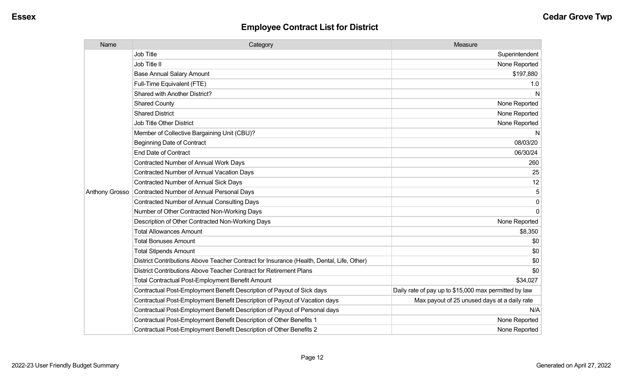| Name           | Category                                                                                  | Measure                                               |
|----------------|-------------------------------------------------------------------------------------------|-------------------------------------------------------|
|                | Job Title                                                                                 | Superintendent                                        |
|                | Job Title II                                                                              | None Reported                                         |
|                | <b>Base Annual Salary Amount</b>                                                          | \$197,880                                             |
|                | Full-Time Equivalent (FTE)                                                                | 1.0                                                   |
|                | Shared with Another District?                                                             | N                                                     |
|                | <b>Shared County</b>                                                                      | None Reported                                         |
|                | <b>Shared District</b>                                                                    | None Reported                                         |
|                | <b>Job Title Other District</b>                                                           | None Reported                                         |
|                | Member of Collective Bargaining Unit (CBU)?                                               | N                                                     |
|                | <b>Beginning Date of Contract</b>                                                         | 08/03/20                                              |
|                | <b>End Date of Contract</b>                                                               | 06/30/24                                              |
|                | <b>Contracted Number of Annual Work Days</b>                                              | 260                                                   |
|                | <b>Contracted Number of Annual Vacation Days</b>                                          | 25                                                    |
|                | Contracted Number of Annual Sick Days                                                     | 12                                                    |
| Anthony Grosso | Contracted Number of Annual Personal Days                                                 | 5                                                     |
|                | <b>Contracted Number of Annual Consulting Days</b>                                        | $\Omega$                                              |
|                | Number of Other Contracted Non-Working Days                                               | $\Omega$                                              |
|                | Description of Other Contracted Non-Working Days                                          | None Reported                                         |
|                | <b>Total Allowances Amount</b>                                                            | \$8,350                                               |
|                | <b>Total Bonuses Amount</b>                                                               | \$0                                                   |
|                | <b>Total Stipends Amount</b>                                                              | \$0                                                   |
|                | District Contributions Above Teacher Contract for Insurance (Health, Dental, Life, Other) | \$0                                                   |
|                | District Contributions Above Teacher Contract for Retirement Plans                        | \$0                                                   |
|                | <b>Total Contractual Post-Employment Benefit Amount</b>                                   | \$34,027                                              |
|                | Contractual Post-Employment Benefit Description of Payout of Sick days                    | Daily rate of pay up to \$15,000 max permitted by law |
|                | Contractual Post-Employment Benefit Description of Payout of Vacation days                | Max payout of 25 unused days at a daily rate          |
|                | Contractual Post-Employment Benefit Description of Payout of Personal days                | N/A                                                   |
|                | Contractual Post-Employment Benefit Description of Other Benefits 1                       | None Reported                                         |
|                | Contractual Post-Employment Benefit Description of Other Benefits 2                       | None Reported                                         |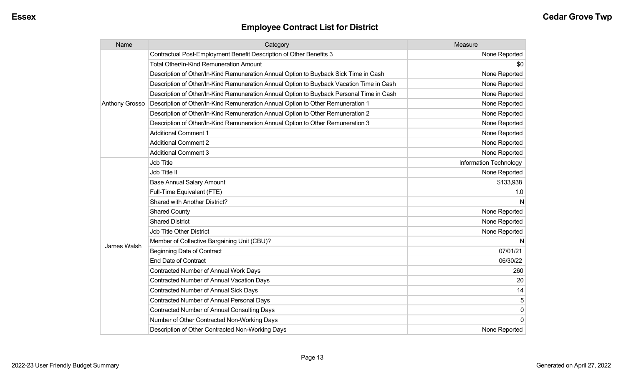| Name                  | Category                                                                                 | Measure                |
|-----------------------|------------------------------------------------------------------------------------------|------------------------|
|                       | Contractual Post-Employment Benefit Description of Other Benefits 3                      | None Reported          |
|                       | <b>Total Other/In-Kind Remuneration Amount</b>                                           | \$0                    |
|                       | Description of Other/In-Kind Remuneration Annual Option to Buyback Sick Time in Cash     | None Reported          |
|                       | Description of Other/In-Kind Remuneration Annual Option to Buyback Vacation Time in Cash | None Reported          |
|                       | Description of Other/In-Kind Remuneration Annual Option to Buyback Personal Time in Cash | None Reported          |
| <b>Anthony Grosso</b> | Description of Other/In-Kind Remuneration Annual Option to Other Remuneration 1          | None Reported          |
|                       | Description of Other/In-Kind Remuneration Annual Option to Other Remuneration 2          | None Reported          |
|                       | Description of Other/In-Kind Remuneration Annual Option to Other Remuneration 3          | None Reported          |
|                       | <b>Additional Comment 1</b>                                                              | None Reported          |
|                       | <b>Additional Comment 2</b>                                                              | None Reported          |
|                       | <b>Additional Comment 3</b>                                                              | None Reported          |
|                       | <b>Job Title</b>                                                                         | Information Technology |
|                       | Job Title II                                                                             | None Reported          |
|                       | <b>Base Annual Salary Amount</b>                                                         | \$133,938              |
|                       | Full-Time Equivalent (FTE)                                                               | 1.0                    |
|                       | Shared with Another District?                                                            | N                      |
|                       | <b>Shared County</b>                                                                     | None Reported          |
|                       | <b>Shared District</b>                                                                   | None Reported          |
|                       | <b>Job Title Other District</b>                                                          | None Reported          |
|                       | Member of Collective Bargaining Unit (CBU)?                                              | N                      |
| James Walsh           | <b>Beginning Date of Contract</b>                                                        | 07/01/21               |
|                       | <b>End Date of Contract</b>                                                              | 06/30/22               |
|                       | <b>Contracted Number of Annual Work Days</b>                                             | 260                    |
|                       | Contracted Number of Annual Vacation Days                                                | 20                     |
|                       | <b>Contracted Number of Annual Sick Days</b>                                             | 14                     |
|                       | Contracted Number of Annual Personal Days                                                | 5                      |
|                       | <b>Contracted Number of Annual Consulting Days</b>                                       | 0                      |
|                       | Number of Other Contracted Non-Working Days                                              | $\mathbf{0}$           |
|                       | Description of Other Contracted Non-Working Days                                         | None Reported          |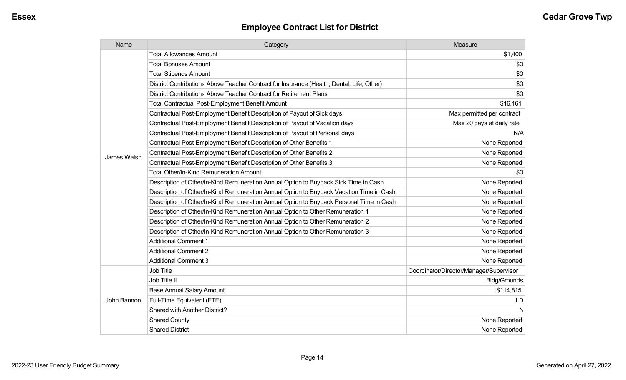| Name        | Category                                                                                  | Measure                                 |
|-------------|-------------------------------------------------------------------------------------------|-----------------------------------------|
|             | <b>Total Allowances Amount</b>                                                            | \$1,400                                 |
|             | <b>Total Bonuses Amount</b>                                                               | \$0                                     |
|             | <b>Total Stipends Amount</b>                                                              | \$0                                     |
|             | District Contributions Above Teacher Contract for Insurance (Health, Dental, Life, Other) | \$0                                     |
|             | District Contributions Above Teacher Contract for Retirement Plans                        | \$0                                     |
|             | <b>Total Contractual Post-Employment Benefit Amount</b>                                   | \$16,161                                |
|             | Contractual Post-Employment Benefit Description of Payout of Sick days                    | Max permitted per contract              |
|             | Contractual Post-Employment Benefit Description of Payout of Vacation days                | Max 20 days at daily rate               |
|             | Contractual Post-Employment Benefit Description of Payout of Personal days                | N/A                                     |
|             | Contractual Post-Employment Benefit Description of Other Benefits 1                       | None Reported                           |
|             | Contractual Post-Employment Benefit Description of Other Benefits 2                       | None Reported                           |
| James Walsh | Contractual Post-Employment Benefit Description of Other Benefits 3                       | None Reported                           |
|             | Total Other/In-Kind Remuneration Amount                                                   | \$0                                     |
|             | Description of Other/In-Kind Remuneration Annual Option to Buyback Sick Time in Cash      | None Reported                           |
|             | Description of Other/In-Kind Remuneration Annual Option to Buyback Vacation Time in Cash  | None Reported                           |
|             | Description of Other/In-Kind Remuneration Annual Option to Buyback Personal Time in Cash  | None Reported                           |
|             | Description of Other/In-Kind Remuneration Annual Option to Other Remuneration 1           | None Reported                           |
|             | Description of Other/In-Kind Remuneration Annual Option to Other Remuneration 2           | None Reported                           |
|             | Description of Other/In-Kind Remuneration Annual Option to Other Remuneration 3           | None Reported                           |
|             | <b>Additional Comment 1</b>                                                               | None Reported                           |
|             | <b>Additional Comment 2</b>                                                               | None Reported                           |
|             | <b>Additional Comment 3</b>                                                               | None Reported                           |
|             | Job Title                                                                                 | Coordinator/Director/Manager/Supervisor |
| John Bannon | Job Title II                                                                              | <b>Bldg/Grounds</b>                     |
|             | <b>Base Annual Salary Amount</b>                                                          | \$114,815                               |
|             | Full-Time Equivalent (FTE)                                                                | 1.0                                     |
|             | Shared with Another District?                                                             | N                                       |
|             | <b>Shared County</b>                                                                      | None Reported                           |
|             | <b>Shared District</b>                                                                    | None Reported                           |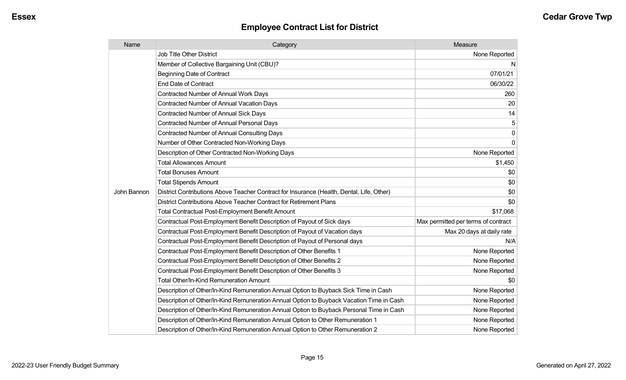| Name        | Category                                                                                  | Measure                             |
|-------------|-------------------------------------------------------------------------------------------|-------------------------------------|
|             | Job Title Other District                                                                  | None Reported                       |
|             | Member of Collective Bargaining Unit (CBU)?                                               | N                                   |
|             | <b>Beginning Date of Contract</b>                                                         | 07/01/21                            |
|             | <b>End Date of Contract</b>                                                               | 06/30/22                            |
|             | Contracted Number of Annual Work Days                                                     | 260                                 |
|             | <b>Contracted Number of Annual Vacation Days</b>                                          | 20                                  |
|             | <b>Contracted Number of Annual Sick Days</b>                                              | 14                                  |
|             | <b>Contracted Number of Annual Personal Days</b>                                          | 5                                   |
|             | <b>Contracted Number of Annual Consulting Days</b>                                        | $\pmb{0}$                           |
|             | Number of Other Contracted Non-Working Days                                               | $\mathbf 0$                         |
|             | Description of Other Contracted Non-Working Days                                          | None Reported                       |
|             | <b>Total Allowances Amount</b>                                                            | \$1,450                             |
|             | <b>Total Bonuses Amount</b>                                                               | \$0                                 |
|             | <b>Total Stipends Amount</b>                                                              | \$0                                 |
| John Bannon | District Contributions Above Teacher Contract for Insurance (Health, Dental, Life, Other) | \$0                                 |
|             | District Contributions Above Teacher Contract for Retirement Plans                        | \$0                                 |
|             | <b>Total Contractual Post-Employment Benefit Amount</b>                                   | \$17,068                            |
|             | Contractual Post-Employment Benefit Description of Payout of Sick days                    | Max permitted per terms of contract |
|             | Contractual Post-Employment Benefit Description of Payout of Vacation days                | Max 20 days at daily rate           |
|             | Contractual Post-Employment Benefit Description of Payout of Personal days                | N/A                                 |
|             | Contractual Post-Employment Benefit Description of Other Benefits 1                       | None Reported                       |
|             | Contractual Post-Employment Benefit Description of Other Benefits 2                       | None Reported                       |
|             | Contractual Post-Employment Benefit Description of Other Benefits 3                       | None Reported                       |
|             | <b>Total Other/In-Kind Remuneration Amount</b>                                            | \$0                                 |
|             | Description of Other/In-Kind Remuneration Annual Option to Buyback Sick Time in Cash      | None Reported                       |
|             | Description of Other/In-Kind Remuneration Annual Option to Buyback Vacation Time in Cash  | None Reported                       |
|             | Description of Other/In-Kind Remuneration Annual Option to Buyback Personal Time in Cash  | None Reported                       |
|             | Description of Other/In-Kind Remuneration Annual Option to Other Remuneration 1           | None Reported                       |
|             | Description of Other/In-Kind Remuneration Annual Option to Other Remuneration 2           | None Reported                       |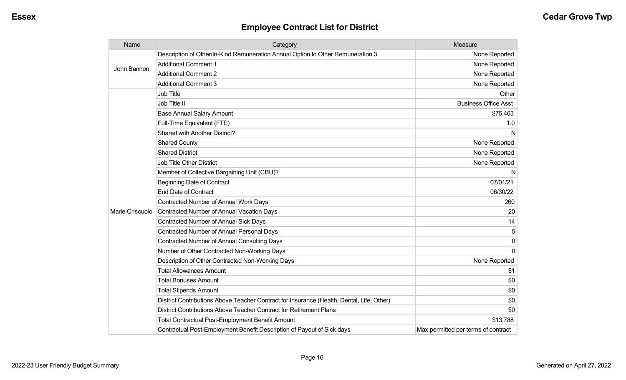| Name            | Category                                                                                  | Measure                             |
|-----------------|-------------------------------------------------------------------------------------------|-------------------------------------|
| John Bannon     | Description of Other/In-Kind Remuneration Annual Option to Other Remuneration 3           | None Reported                       |
|                 | <b>Additional Comment 1</b>                                                               | None Reported                       |
|                 | <b>Additional Comment 2</b>                                                               | None Reported                       |
|                 | <b>Additional Comment 3</b>                                                               | None Reported                       |
|                 | Job Title                                                                                 | Other                               |
|                 | Job Title II                                                                              | <b>Business Office Asst</b>         |
|                 | <b>Base Annual Salary Amount</b>                                                          | \$75,463                            |
|                 | Full-Time Equivalent (FTE)                                                                | 1.0                                 |
|                 | Shared with Another District?                                                             | N                                   |
|                 | <b>Shared County</b>                                                                      | None Reported                       |
|                 | <b>Shared District</b>                                                                    | None Reported                       |
|                 | <b>Job Title Other District</b>                                                           | None Reported                       |
|                 | Member of Collective Bargaining Unit (CBU)?                                               | N                                   |
|                 | <b>Beginning Date of Contract</b>                                                         | 07/01/21                            |
|                 | <b>End Date of Contract</b>                                                               | 06/30/22                            |
|                 | <b>Contracted Number of Annual Work Days</b>                                              | 260                                 |
| Marie Criscuolo | Contracted Number of Annual Vacation Days                                                 | 20                                  |
|                 | <b>Contracted Number of Annual Sick Days</b>                                              | 14                                  |
|                 | <b>Contracted Number of Annual Personal Days</b>                                          | 5                                   |
|                 | <b>Contracted Number of Annual Consulting Days</b>                                        | 0                                   |
|                 | Number of Other Contracted Non-Working Days                                               | $\Omega$                            |
|                 | Description of Other Contracted Non-Working Days                                          | None Reported                       |
|                 | <b>Total Allowances Amount</b>                                                            | \$1                                 |
|                 | <b>Total Bonuses Amount</b>                                                               | \$0                                 |
|                 | <b>Total Stipends Amount</b>                                                              | \$0                                 |
|                 | District Contributions Above Teacher Contract for Insurance (Health, Dental, Life, Other) | \$0                                 |
|                 | District Contributions Above Teacher Contract for Retirement Plans                        | \$0                                 |
|                 | <b>Total Contractual Post-Employment Benefit Amount</b>                                   | \$13,788                            |
|                 | Contractual Post-Employment Benefit Description of Payout of Sick days                    | Max permitted per terms of contract |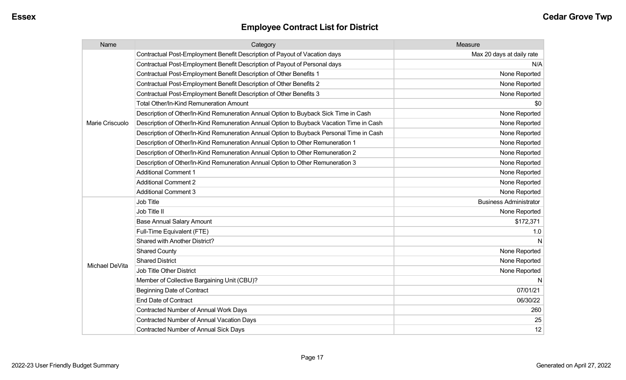| Name            | Category                                                                                 | Measure                       |
|-----------------|------------------------------------------------------------------------------------------|-------------------------------|
|                 | Contractual Post-Employment Benefit Description of Payout of Vacation days               | Max 20 days at daily rate     |
|                 | Contractual Post-Employment Benefit Description of Payout of Personal days               | N/A                           |
|                 | Contractual Post-Employment Benefit Description of Other Benefits 1                      | None Reported                 |
|                 | Contractual Post-Employment Benefit Description of Other Benefits 2                      | None Reported                 |
|                 | Contractual Post-Employment Benefit Description of Other Benefits 3                      | None Reported                 |
|                 | <b>Total Other/In-Kind Remuneration Amount</b>                                           | \$0                           |
|                 | Description of Other/In-Kind Remuneration Annual Option to Buyback Sick Time in Cash     | None Reported                 |
| Marie Criscuolo | Description of Other/In-Kind Remuneration Annual Option to Buyback Vacation Time in Cash | None Reported                 |
|                 | Description of Other/In-Kind Remuneration Annual Option to Buyback Personal Time in Cash | None Reported                 |
|                 | Description of Other/In-Kind Remuneration Annual Option to Other Remuneration 1          | None Reported                 |
|                 | Description of Other/In-Kind Remuneration Annual Option to Other Remuneration 2          | None Reported                 |
|                 | Description of Other/In-Kind Remuneration Annual Option to Other Remuneration 3          | None Reported                 |
|                 | <b>Additional Comment 1</b>                                                              | None Reported                 |
|                 | <b>Additional Comment 2</b>                                                              | None Reported                 |
|                 | <b>Additional Comment 3</b>                                                              | None Reported                 |
|                 | Job Title                                                                                | <b>Business Administrator</b> |
|                 | Job Title II                                                                             | None Reported                 |
|                 | <b>Base Annual Salary Amount</b>                                                         | \$172,371                     |
|                 | Full-Time Equivalent (FTE)                                                               | 1.0                           |
|                 | <b>Shared with Another District?</b>                                                     |                               |
|                 | <b>Shared County</b>                                                                     | None Reported                 |
| Michael DeVita  | <b>Shared District</b>                                                                   | None Reported                 |
|                 | <b>Job Title Other District</b>                                                          | None Reported                 |
|                 | Member of Collective Bargaining Unit (CBU)?                                              |                               |
|                 | <b>Beginning Date of Contract</b>                                                        | 07/01/21                      |
|                 | <b>End Date of Contract</b>                                                              | 06/30/22                      |
|                 | <b>Contracted Number of Annual Work Days</b>                                             | 260                           |
|                 | <b>Contracted Number of Annual Vacation Days</b>                                         | 25                            |
|                 | <b>Contracted Number of Annual Sick Days</b>                                             | 12                            |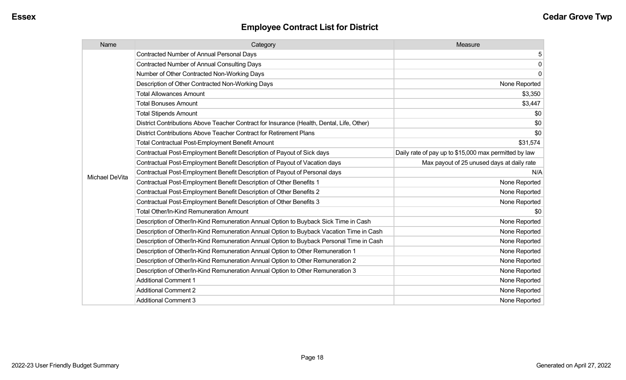| Name           | Category                                                                                  | Measure                                               |
|----------------|-------------------------------------------------------------------------------------------|-------------------------------------------------------|
|                | <b>Contracted Number of Annual Personal Days</b>                                          | 5                                                     |
|                | <b>Contracted Number of Annual Consulting Days</b>                                        | 0                                                     |
|                | Number of Other Contracted Non-Working Days                                               | 0                                                     |
|                | Description of Other Contracted Non-Working Days                                          | None Reported                                         |
|                | <b>Total Allowances Amount</b>                                                            | \$3,350                                               |
|                | <b>Total Bonuses Amount</b>                                                               | \$3,447                                               |
|                | <b>Total Stipends Amount</b>                                                              | \$0                                                   |
|                | District Contributions Above Teacher Contract for Insurance (Health, Dental, Life, Other) | \$0                                                   |
|                | District Contributions Above Teacher Contract for Retirement Plans                        | \$0                                                   |
|                | Total Contractual Post-Employment Benefit Amount                                          | \$31,574                                              |
|                | Contractual Post-Employment Benefit Description of Payout of Sick days                    | Daily rate of pay up to \$15,000 max permitted by law |
|                | Contractual Post-Employment Benefit Description of Payout of Vacation days                | Max payout of 25 unused days at daily rate            |
| Michael DeVita | Contractual Post-Employment Benefit Description of Payout of Personal days                | N/A                                                   |
|                | Contractual Post-Employment Benefit Description of Other Benefits 1                       | None Reported                                         |
|                | Contractual Post-Employment Benefit Description of Other Benefits 2                       | None Reported                                         |
|                | Contractual Post-Employment Benefit Description of Other Benefits 3                       | None Reported                                         |
|                | <b>Total Other/In-Kind Remuneration Amount</b>                                            | \$0                                                   |
|                | Description of Other/In-Kind Remuneration Annual Option to Buyback Sick Time in Cash      | None Reported                                         |
|                | Description of Other/In-Kind Remuneration Annual Option to Buyback Vacation Time in Cash  | None Reported                                         |
|                | Description of Other/In-Kind Remuneration Annual Option to Buyback Personal Time in Cash  | None Reported                                         |
|                | Description of Other/In-Kind Remuneration Annual Option to Other Remuneration 1           | None Reported                                         |
|                | Description of Other/In-Kind Remuneration Annual Option to Other Remuneration 2           | None Reported                                         |
|                | Description of Other/In-Kind Remuneration Annual Option to Other Remuneration 3           | None Reported                                         |
|                | <b>Additional Comment 1</b>                                                               | None Reported                                         |
|                | <b>Additional Comment 2</b>                                                               | None Reported                                         |
|                | <b>Additional Comment 3</b>                                                               | None Reported                                         |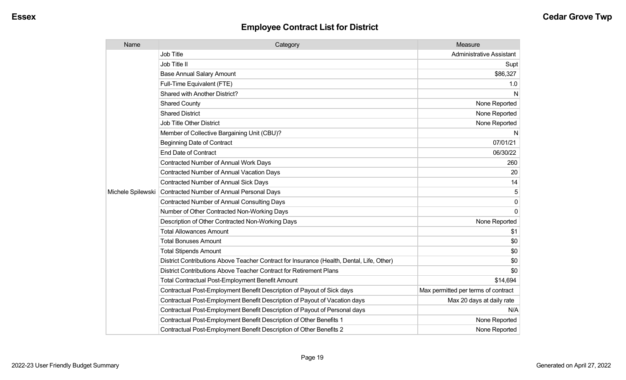| Name              | Category                                                                                  | Measure                             |
|-------------------|-------------------------------------------------------------------------------------------|-------------------------------------|
|                   | <b>Job Title</b>                                                                          | <b>Administrative Assistant</b>     |
|                   | Job Title II                                                                              | Supt                                |
|                   | <b>Base Annual Salary Amount</b>                                                          | \$86,327                            |
|                   | Full-Time Equivalent (FTE)                                                                | 1.0                                 |
|                   | Shared with Another District?                                                             | N                                   |
|                   | <b>Shared County</b>                                                                      | None Reported                       |
|                   | <b>Shared District</b>                                                                    | None Reported                       |
|                   | <b>Job Title Other District</b>                                                           | None Reported                       |
|                   | Member of Collective Bargaining Unit (CBU)?                                               | N                                   |
|                   | <b>Beginning Date of Contract</b>                                                         | 07/01/21                            |
|                   | <b>End Date of Contract</b>                                                               | 06/30/22                            |
|                   | Contracted Number of Annual Work Days                                                     | 260                                 |
|                   | <b>Contracted Number of Annual Vacation Days</b>                                          | 20                                  |
|                   | <b>Contracted Number of Annual Sick Days</b>                                              | 14                                  |
| Michele Spilewski | Contracted Number of Annual Personal Days                                                 | 5                                   |
|                   | <b>Contracted Number of Annual Consulting Days</b>                                        | $\Omega$                            |
|                   | Number of Other Contracted Non-Working Days                                               | $\Omega$                            |
|                   | Description of Other Contracted Non-Working Days                                          | None Reported                       |
|                   | <b>Total Allowances Amount</b>                                                            | \$1                                 |
|                   | <b>Total Bonuses Amount</b>                                                               | \$0                                 |
|                   | <b>Total Stipends Amount</b>                                                              | \$0                                 |
|                   | District Contributions Above Teacher Contract for Insurance (Health, Dental, Life, Other) | \$0                                 |
|                   | District Contributions Above Teacher Contract for Retirement Plans                        | \$0                                 |
|                   | <b>Total Contractual Post-Employment Benefit Amount</b>                                   | \$14,694                            |
|                   | Contractual Post-Employment Benefit Description of Payout of Sick days                    | Max permitted per terms of contract |
|                   | Contractual Post-Employment Benefit Description of Payout of Vacation days                | Max 20 days at daily rate           |
|                   | Contractual Post-Employment Benefit Description of Payout of Personal days                | N/A                                 |
|                   | Contractual Post-Employment Benefit Description of Other Benefits 1                       | None Reported                       |
|                   | Contractual Post-Employment Benefit Description of Other Benefits 2                       | None Reported                       |